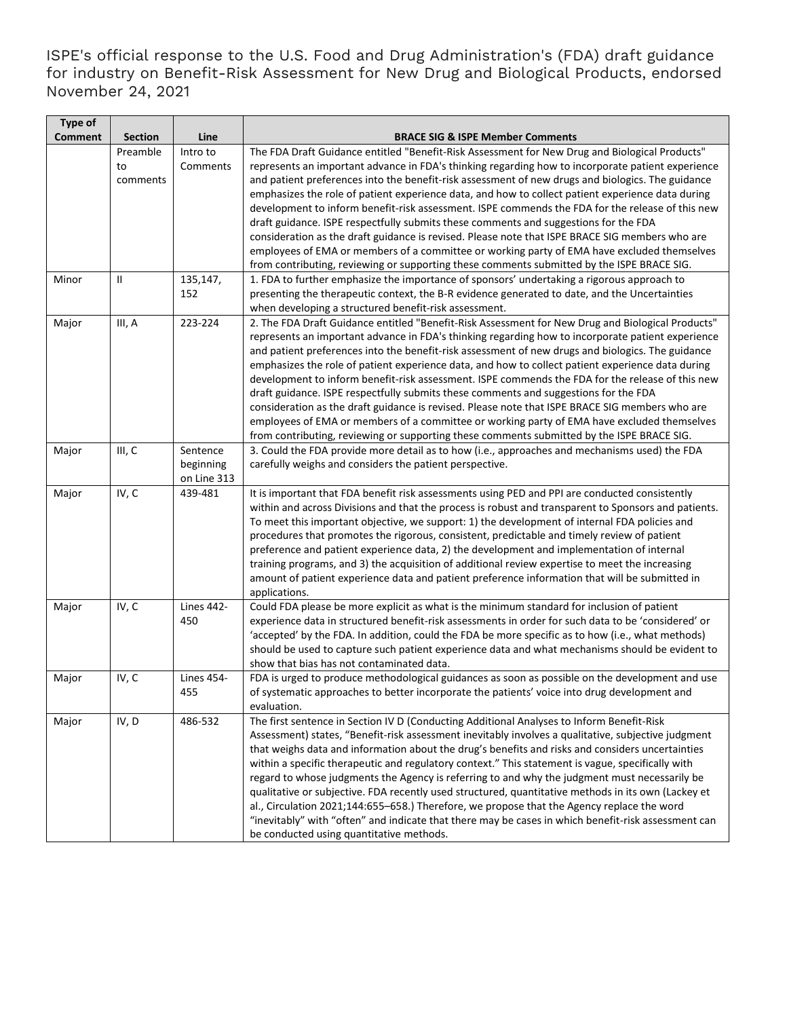ISPE's official response to the U.S. Food and Drug Administration's (FDA) draft guidance for industry on Benefit-Risk Assessment for New Drug and Biological Products, endorsed November 24, 2021

| Type of<br><b>Comment</b> | <b>Section</b> | Line                                 | <b>BRACE SIG &amp; ISPE Member Comments</b>                                                                                                                                                                                                                                                                                                                                                                                                                                                                                                                                                                                                                                                                                                                                                                                                                                                                  |
|---------------------------|----------------|--------------------------------------|--------------------------------------------------------------------------------------------------------------------------------------------------------------------------------------------------------------------------------------------------------------------------------------------------------------------------------------------------------------------------------------------------------------------------------------------------------------------------------------------------------------------------------------------------------------------------------------------------------------------------------------------------------------------------------------------------------------------------------------------------------------------------------------------------------------------------------------------------------------------------------------------------------------|
|                           | Preamble       | Intro to                             | The FDA Draft Guidance entitled "Benefit-Risk Assessment for New Drug and Biological Products"                                                                                                                                                                                                                                                                                                                                                                                                                                                                                                                                                                                                                                                                                                                                                                                                               |
|                           | to<br>comments | Comments                             | represents an important advance in FDA's thinking regarding how to incorporate patient experience<br>and patient preferences into the benefit-risk assessment of new drugs and biologics. The guidance<br>emphasizes the role of patient experience data, and how to collect patient experience data during<br>development to inform benefit-risk assessment. ISPE commends the FDA for the release of this new<br>draft guidance. ISPE respectfully submits these comments and suggestions for the FDA<br>consideration as the draft guidance is revised. Please note that ISPE BRACE SIG members who are<br>employees of EMA or members of a committee or working party of EMA have excluded themselves<br>from contributing, reviewing or supporting these comments submitted by the ISPE BRACE SIG.                                                                                                      |
| Minor                     | Ш              | 135,147,<br>152                      | 1. FDA to further emphasize the importance of sponsors' undertaking a rigorous approach to<br>presenting the therapeutic context, the B-R evidence generated to date, and the Uncertainties<br>when developing a structured benefit-risk assessment.                                                                                                                                                                                                                                                                                                                                                                                                                                                                                                                                                                                                                                                         |
| Major                     | III, A         | 223-224                              | 2. The FDA Draft Guidance entitled "Benefit-Risk Assessment for New Drug and Biological Products"<br>represents an important advance in FDA's thinking regarding how to incorporate patient experience<br>and patient preferences into the benefit-risk assessment of new drugs and biologics. The guidance<br>emphasizes the role of patient experience data, and how to collect patient experience data during<br>development to inform benefit-risk assessment. ISPE commends the FDA for the release of this new<br>draft guidance. ISPE respectfully submits these comments and suggestions for the FDA<br>consideration as the draft guidance is revised. Please note that ISPE BRACE SIG members who are<br>employees of EMA or members of a committee or working party of EMA have excluded themselves<br>from contributing, reviewing or supporting these comments submitted by the ISPE BRACE SIG. |
| Major                     | III, C         | Sentence<br>beginning<br>on Line 313 | 3. Could the FDA provide more detail as to how (i.e., approaches and mechanisms used) the FDA<br>carefully weighs and considers the patient perspective.                                                                                                                                                                                                                                                                                                                                                                                                                                                                                                                                                                                                                                                                                                                                                     |
| Major                     | IV, C          | 439-481                              | It is important that FDA benefit risk assessments using PED and PPI are conducted consistently<br>within and across Divisions and that the process is robust and transparent to Sponsors and patients.<br>To meet this important objective, we support: 1) the development of internal FDA policies and<br>procedures that promotes the rigorous, consistent, predictable and timely review of patient<br>preference and patient experience data, 2) the development and implementation of internal<br>training programs, and 3) the acquisition of additional review expertise to meet the increasing<br>amount of patient experience data and patient preference information that will be submitted in<br>applications.                                                                                                                                                                                    |
| Major                     | IV, C          | <b>Lines 442-</b><br>450             | Could FDA please be more explicit as what is the minimum standard for inclusion of patient<br>experience data in structured benefit-risk assessments in order for such data to be 'considered' or<br>'accepted' by the FDA. In addition, could the FDA be more specific as to how (i.e., what methods)<br>should be used to capture such patient experience data and what mechanisms should be evident to<br>show that bias has not contaminated data.                                                                                                                                                                                                                                                                                                                                                                                                                                                       |
| Major                     | IV, C          | <b>Lines 454-</b><br>455             | FDA is urged to produce methodological guidances as soon as possible on the development and use<br>of systematic approaches to better incorporate the patients' voice into drug development and<br>evaluation.                                                                                                                                                                                                                                                                                                                                                                                                                                                                                                                                                                                                                                                                                               |
| Major                     | IV, D          | 486-532                              | The first sentence in Section IV D (Conducting Additional Analyses to Inform Benefit-Risk<br>Assessment) states, "Benefit-risk assessment inevitably involves a qualitative, subjective judgment<br>that weighs data and information about the drug's benefits and risks and considers uncertainties<br>within a specific therapeutic and regulatory context." This statement is vague, specifically with<br>regard to whose judgments the Agency is referring to and why the judgment must necessarily be<br>qualitative or subjective. FDA recently used structured, quantitative methods in its own (Lackey et<br>al., Circulation 2021;144:655-658.) Therefore, we propose that the Agency replace the word<br>"inevitably" with "often" and indicate that there may be cases in which benefit-risk assessment can<br>be conducted using quantitative methods.                                           |